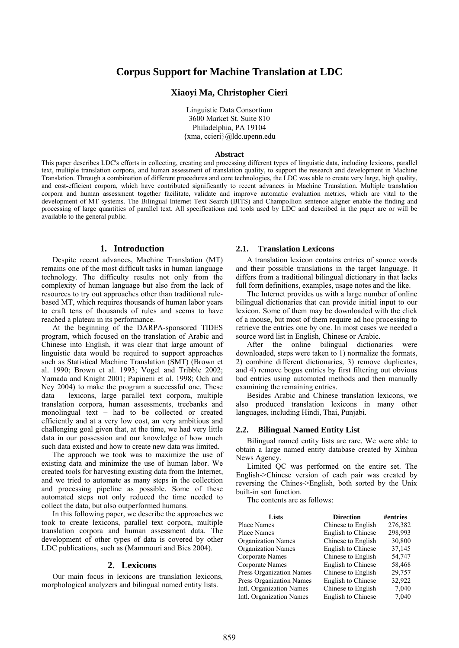# **Corpus Support for Machine Translation at LDC**

### **Xiaoyi Ma, Christopher Cieri**

Linguistic Data Consortium 3600 Market St. Suite 810 Philadelphia, PA 19104 {xma, ccieri}@ldc.upenn.edu

#### **Abstract**

This paper describes LDC's efforts in collecting, creating and processing different types of linguistic data, including lexicons, parallel text, multiple translation corpora, and human assessment of translation quality, to support the research and development in Machine Translation. Through a combination of different procedures and core technologies, the LDC was able to create very large, high quality, and cost-efficient corpora, which have contributed significantly to recent advances in Machine Translation. Multiple translation corpora and human assessment together facilitate, validate and improve automatic evaluation metrics, which are vital to the development of MT systems. The Bilingual Internet Text Search (BITS) and Champollion sentence aligner enable the finding and processing of large quantities of parallel text. All specifications and tools used by LDC and described in the paper are or will be available to the general public.

## **1. Introduction**

Despite recent advances, Machine Translation (MT) remains one of the most difficult tasks in human language technology. The difficulty results not only from the complexity of human language but also from the lack of resources to try out approaches other than traditional rulebased MT, which requires thousands of human labor years to craft tens of thousands of rules and seems to have reached a plateau in its performance.

At the beginning of the DARPA-sponsored TIDES program, which focused on the translation of Arabic and Chinese into English, it was clear that large amount of linguistic data would be required to support approaches such as Statistical Machine Translation (SMT) (Brown et al. 1990; Brown et al. 1993; Vogel and Tribble 2002; Yamada and Knight 2001; Papineni et al. 1998; Och and Ney 2004) to make the program a successful one. These data – lexicons, large parallel text corpora, multiple translation corpora, human assessments, treebanks and monolingual text – had to be collected or created efficiently and at a very low cost, an very ambitious and challenging goal given that, at the time, we had very little data in our possession and our knowledge of how much such data existed and how to create new data was limited.

The approach we took was to maximize the use of existing data and minimize the use of human labor. We created tools for harvesting existing data from the Internet, and we tried to automate as many steps in the collection and processing pipeline as possible. Some of these automated steps not only reduced the time needed to collect the data, but also outperformed humans.

In this following paper, we describe the approaches we took to create lexicons, parallel text corpora, multiple translation corpora and human assessment data. The development of other types of data is covered by other LDC publications, such as (Mammouri and Bies 2004).

## **2. Lexicons**

Our main focus in lexicons are translation lexicons, morphological analyzers and bilingual named entity lists.

#### **2.1. Translation Lexicons**

A translation lexicon contains entries of source words and their possible translations in the target language. It differs from a traditional bilingual dictionary in that lacks full form definitions, examples, usage notes and the like.

The Internet provides us with a large number of online bilingual dictionaries that can provide initial input to our lexicon. Some of them may be downloaded with the click of a mouse, but most of them require ad hoc processing to retrieve the entries one by one. In most cases we needed a source word list in English, Chinese or Arabic.

After the online bilingual dictionaries were downloaded, steps were taken to 1) normalize the formats, 2) combine different dictionaries, 3) remove duplicates, and 4) remove bogus entries by first filtering out obvious bad entries using automated methods and then manually examining the remaining entries.

Besides Arabic and Chinese translation lexicons, we also produced translation lexicons in many other languages, including Hindi, Thai, Punjabi.

#### **2.2. Bilingual Named Entity List**

Bilingual named entity lists are rare. We were able to obtain a large named entity database created by Xinhua News Agency.

Limited QC was performed on the entire set. The English->Chinese version of each pair was created by reversing the Chines->English, both sorted by the Unix built-in sort function.

The contents are as follows:

| Lists                           | <b>Direction</b>          | #entries |
|---------------------------------|---------------------------|----------|
| Place Names                     | Chinese to English        | 276,382  |
| <b>Place Names</b>              | <b>English to Chinese</b> | 298,993  |
| <b>Organization Names</b>       | Chinese to English        | 30,800   |
| <b>Organization Names</b>       | English to Chinese        | 37,145   |
| Corporate Names                 | Chinese to English        | 54,747   |
| Corporate Names                 | English to Chinese        | 58,468   |
| <b>Press Organization Names</b> | Chinese to English        | 29,757   |
| <b>Press Organization Names</b> | English to Chinese        | 32,922   |
| Intl. Organization Names        | Chinese to English        | 7,040    |
| Intl. Organization Names        | English to Chinese        | 7,040    |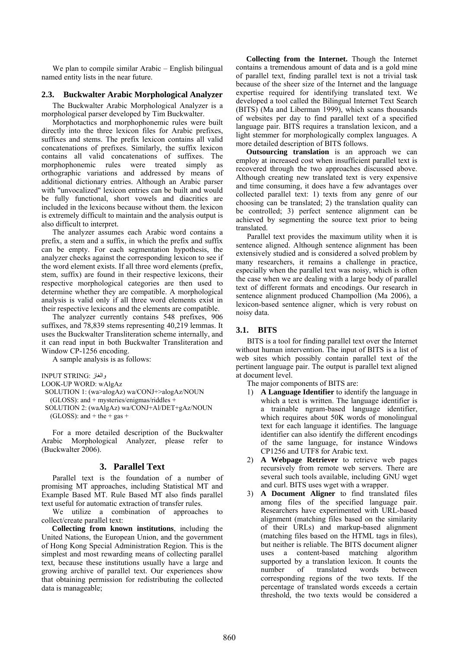We plan to compile similar Arabic – English bilingual named entity lists in the near future.

## **2.3. Buckwalter Arabic Morphological Analyzer**

The Buckwalter Arabic Morphological Analyzer is a morphological parser developed by Tim Buckwalter.

Morphotactics and morphophonemic rules were built directly into the three lexicon files for Arabic prefixes, suffixes and stems. The prefix lexicon contains all valid concatenations of prefixes. Similarly, the suffix lexicon contains all valid concatenations of suffixes. The morphophonemic rules were treated simply as orthographic variations and addressed by means of additional dictionary entries. Although an Arabic parser with "unvocalized" lexicon entries can be built and would be fully functional, short vowels and diacritics are included in the lexicons because without them. the lexicon is extremely difficult to maintain and the analysis output is also difficult to interpret.

The analyzer assumes each Arabic word contains a prefix, a stem and a suffix, in which the prefix and suffix can be empty. For each segmentation hypothesis, the analyzer checks against the corresponding lexicon to see if the word element exists. If all three word elements (prefix, stem, suffix) are found in their respective lexicons, their respective morphological categories are then used to determine whether they are compatible. A morphological analysis is valid only if all three word elements exist in their respective lexicons and the elements are compatible.

The analyzer currently contains 548 prefixes, 906 suffixes, and 78,839 stems representing 40,219 lemmas. It uses the Buckwalter Transliteration scheme internally, and it can read input in both Buckwalter Transliteration and Window CP-1256 encoding.

A sample analysis is as follows:

INPUT STRING: والغاز

```
LOOK-UP WORD: wAlgAz
```

```
 SOLUTION 1: (wa>alogAz) wa/CONJ+>alogAz/NOUN
```

```
 (GLOSS): and + mysteries/enigmas/riddles +
```

```
 SOLUTION 2: (waAlgAz) wa/CONJ+Al/DET+gAz/NOUN 
 (GLOSS): and + the + gas +
```
For a more detailed description of the Buckwalter Arabic Morphological Analyzer, please refer to (Buckwalter 2006).

## **3. Parallel Text**

Parallel text is the foundation of a number of promising MT approaches, including Statistical MT and Example Based MT. Rule Based MT also finds parallel text useful for automatic extraction of transfer rules.

We utilize a combination of approaches to collect/create parallel text:

**Collecting from known institutions**, including the United Nations, the European Union, and the government of Hong Kong Special Administration Region. This is the simplest and most rewarding means of collecting parallel text, because these institutions usually have a large and growing archive of parallel text. Our experiences show that obtaining permission for redistributing the collected data is manageable;

**Collecting from the Internet.** Though the Internet contains a tremendous amount of data and is a gold mine of parallel text, finding parallel text is not a trivial task because of the sheer size of the Internet and the language expertise required for identifying translated text. We developed a tool called the Bilingual Internet Text Search (BITS) (Ma and Liberman 1999), which scans thousands of websites per day to find parallel text of a specified language pair. BITS requires a translation lexicon, and a light stemmer for morphologically complex languages. A more detailed description of BITS follows.

**Outsourcing translation** is an approach we can employ at increased cost when insufficient parallel text is recovered through the two approaches discussed above. Although creating new translated text is very expensive and time consuming, it does have a few advantages over collected parallel text: 1) texts from any genre of our choosing can be translated; 2) the translation quality can be controlled; 3) perfect sentence alignment can be achieved by segmenting the source text prior to being translated.

Parallel text provides the maximum utility when it is sentence aligned. Although sentence alignment has been extensively studied and is considered a solved problem by many researchers, it remains a challenge in practice, especially when the parallel text was noisy, which is often the case when we are dealing with a large body of parallel text of different formats and encodings. Our research in sentence alignment produced Champollion (Ma 2006), a lexicon-based sentence aligner, which is very robust on noisy data.

## **3.1. BITS**

BITS is a tool for finding parallel text over the Internet without human intervention. The input of BITS is a list of web sites which possibly contain parallel text of the pertinent language pair. The output is parallel text aligned at document level.

The major components of BITS are:

- 1) **A Language Identifier** to identify the language in which a text is written. The language identifier is a trainable ngram-based language identifier, which requires about 50K words of monolingual text for each language it identifies. The language identifier can also identify the different encodings of the same language, for instance Windows CP1256 and UTF8 for Arabic text.
- 2) **A Webpage Retriever** to retrieve web pages recursively from remote web servers. There are several such tools available, including GNU wget and curl. BITS uses wget with a wrapper.
- 3) **A Document Aligner** to find translated files among files of the specified language pair. Researchers have experimented with URL-based alignment (matching files based on the similarity of their URLs) and markup-based alignment (matching files based on the HTML tags in files), but neither is reliable. The BITS document aligner uses a content-based matching algorithm supported by a translation lexicon. It counts the number of translated words between corresponding regions of the two texts. If the percentage of translated words exceeds a certain threshold, the two texts would be considered a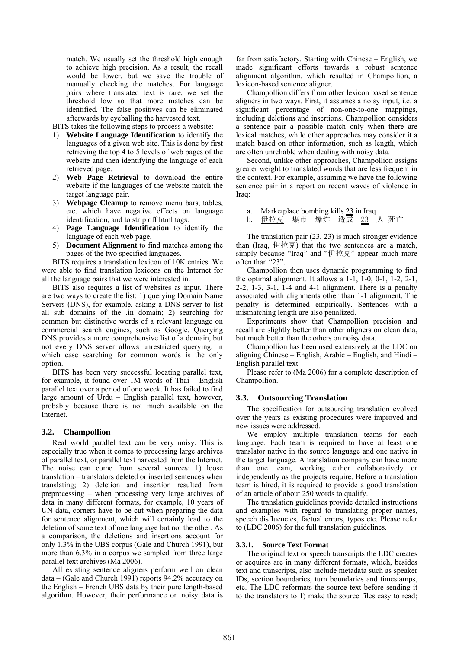match. We usually set the threshold high enough to achieve high precision. As a result, the recall would be lower, but we save the trouble of manually checking the matches. For language pairs where translated text is rare, we set the threshold low so that more matches can be identified. The false positives can be eliminated afterwards by eyeballing the harvested text.

BITS takes the following steps to process a website:

- 1) **Website Language Identification** to identify the languages of a given web site. This is done by first retrieving the top 4 to 5 levels of web pages of the website and then identifying the language of each retrieved page.
- 2) **Web Page Retrieval** to download the entire website if the languages of the website match the target language pair.
- 3) **Webpage Cleanup** to remove menu bars, tables, etc. which have negative effects on language identification, and to strip off html tags.
- 4) **Page Language Identification** to identify the language of each web page.
- 5) **Document Alignment** to find matches among the pages of the two specified languages.

BITS requires a translation lexicon of 10K entries. We were able to find translation lexicons on the Internet for all the language pairs that we were interested in.

BITS also requires a list of websites as input. There are two ways to create the list: 1) querying Domain Name Servers (DNS), for example, asking a DNS server to list all sub domains of the .in domain; 2) searching for common but distinctive words of a relevant language on commercial search engines, such as Google. Querying DNS provides a more comprehensive list of a domain, but not every DNS server allows unrestricted querying, in which case searching for common words is the only option.

BITS has been very successful locating parallel text, for example, it found over 1M words of Thai – English parallel text over a period of one week. It has failed to find large amount of Urdu – English parallel text, however, probably because there is not much available on the Internet.

### **3.2. Champollion**

Real world parallel text can be very noisy. This is especially true when it comes to processing large archives of parallel text, or parallel text harvested from the Internet. The noise can come from several sources: 1) loose translation – translators deleted or inserted sentences when translating; 2) deletion and insertion resulted from preprocessing – when processing very large archives of data in many different formats, for example, 10 years of UN data, corners have to be cut when preparing the data for sentence alignment, which will certainly lead to the deletion of some text of one language but not the other. As a comparison, the deletions and insertions account for only 1.3% in the UBS corpus (Gale and Church 1991), but more than 6.3% in a corpus we sampled from three large parallel text archives (Ma 2006).

All existing sentence aligners perform well on clean data – (Gale and Church 1991) reports 94.2% accuracy on the English – French UBS data by their pure length-based algorithm. However, their performance on noisy data is

far from satisfactory. Starting with Chinese – English, we made significant efforts towards a robust sentence alignment algorithm, which resulted in Champollion, a lexicon-based sentence aligner.

Champollion differs from other lexicon based sentence aligners in two ways. First, it assumes a noisy input, i.e. a significant percentage of non-one-to-one mappings, including deletions and insertions. Champollion considers a sentence pair a possible match only when there are lexical matches, while other approaches may consider it a match based on other information, such as length, which are often unreliable when dealing with noisy data.

Second, unlike other approaches, Champollion assigns greater weight to translated words that are less frequent in the context. For example, assuming we have the following sentence pair in a report on recent waves of violence in Iraq:

- a. Marketplace bombing kills 23 in Iraq
- b. 伊拉克 集市 爆炸 造成 23 人 死亡

The translation pair (23, 23) is much stronger evidence than (Iraq,  $\# \underline{t}$ ) that the two sentences are a match, simply because "Iraq" and "伊拉克" appear much more often than "23".

Champollion then uses dynamic programming to find the optimal alignment. It allows a 1-1, 1-0, 0-1, 1-2, 2-1, 2-2, 1-3, 3-1, 1-4 and 4-1 alignment. There is a penalty associated with alignments other than 1-1 alignment. The penalty is determined empirically. Sentences with a mismatching length are also penalized.

Experiments show that Champollion precision and recall are slightly better than other aligners on clean data, but much better than the others on noisy data.

Champollion has been used extensively at the LDC on aligning Chinese – English, Arabic – English, and Hindi – English parallel text.

Please refer to (Ma 2006) for a complete description of Champollion.

#### **3.3. Outsourcing Translation**

The specification for outsourcing translation evolved over the years as existing procedures were improved and new issues were addressed.

We employ multiple translation teams for each language. Each team is required to have at least one translator native in the source language and one native in the target language. A translation company can have more than one team, working either collaboratively or independently as the projects require. Before a translation team is hired, it is required to provide a good translation of an article of about 250 words to qualify.

The translation guidelines provide detailed instructions and examples with regard to translating proper names, speech disfluencies, factual errors, typos etc. Please refer to (LDC 2006) for the full translation guidelines.

### **3.3.1. Source Text Format**

The original text or speech transcripts the LDC creates or acquires are in many different formats, which, besides text and transcripts, also include metadata such as speaker IDs, section boundaries, turn boundaries and timestamps, etc. The LDC reformats the source text before sending it to the translators to 1) make the source files easy to read;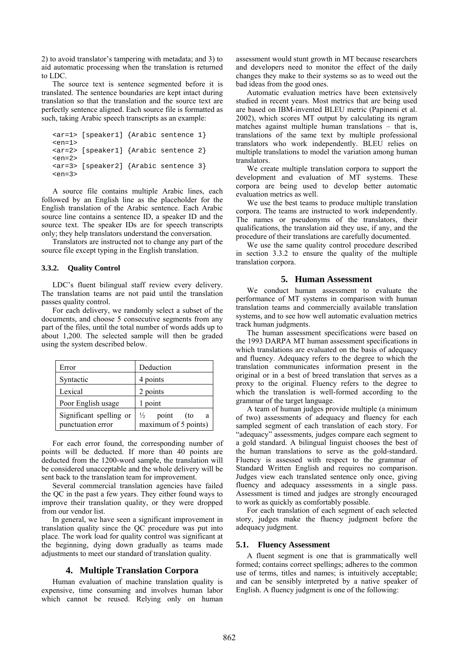2) to avoid translator's tampering with metadata; and 3) to aid automatic processing when the translation is returned to LDC.

The source text is sentence segmented before it is translated. The sentence boundaries are kept intact during translation so that the translation and the source text are perfectly sentence aligned. Each source file is formatted as such, taking Arabic speech transcripts as an example:

```
<ar=1> [speaker1] {Arabic sentence 1} 
<en=1><ar=2> [speaker1] {Arabic sentence 2} 
\epsilonen=25
<ar=3> [speaker2] {Arabic sentence 3} 
<en=3>
```
A source file contains multiple Arabic lines, each followed by an English line as the placeholder for the English translation of the Arabic sentence. Each Arabic source line contains a sentence ID, a speaker ID and the source text. The speaker IDs are for speech transcripts only; they help translators understand the conversation.

Translators are instructed not to change any part of the source file except typing in the English translation.

### **3.3.2. Quality Control**

LDC's fluent bilingual staff review every delivery. The translation teams are not paid until the translation passes quality control.

For each delivery, we randomly select a subset of the documents, and choose 5 consecutive segments from any part of the files, until the total number of words adds up to about 1,200. The selected sample will then be graded using the system described below.

| Error                                        | Deduction                                                  |
|----------------------------------------------|------------------------------------------------------------|
| Syntactic                                    | 4 points                                                   |
| Lexical                                      | 2 points                                                   |
| Poor English usage                           | point                                                      |
| Significant spelling or<br>punctuation error | point<br>$\frac{1}{2}$<br>(to<br>a<br>maximum of 5 points) |

For each error found, the corresponding number of points will be deducted. If more than 40 points are deducted from the 1200-word sample, the translation will be considered unacceptable and the whole delivery will be sent back to the translation team for improvement.

Several commercial translation agencies have failed the QC in the past a few years. They either found ways to improve their translation quality, or they were dropped from our vendor list.

In general, we have seen a significant improvement in translation quality since the QC procedure was put into place. The work load for quality control was significant at the beginning, dying down gradually as teams made adjustments to meet our standard of translation quality.

## **4. Multiple Translation Corpora**

Human evaluation of machine translation quality is expensive, time consuming and involves human labor which cannot be reused. Relying only on human assessment would stunt growth in MT because researchers and developers need to monitor the effect of the daily changes they make to their systems so as to weed out the bad ideas from the good ones.

Automatic evaluation metrics have been extensively studied in recent years. Most metrics that are being used are based on IBM-invented BLEU metric (Papineni et al. 2002), which scores MT output by calculating its ngram matches against multiple human translations – that is, translations of the same text by multiple professional translators who work independently. BLEU relies on multiple translations to model the variation among human translators.

We create multiple translation corpora to support the development and evaluation of MT systems. These corpora are being used to develop better automatic evaluation metrics as well.

We use the best teams to produce multiple translation corpora. The teams are instructed to work independently. The names or pseudonyms of the translators, their qualifications, the translation aid they use, if any, and the procedure of their translations are carefully documented.

We use the same quality control procedure described in section 3.3.2 to ensure the quality of the multiple translation corpora.

## **5. Human Assessment**

We conduct human assessment to evaluate the performance of MT systems in comparison with human translation teams and commercially available translation systems, and to see how well automatic evaluation metrics track human judgments.

The human assessment specifications were based on the 1993 DARPA MT human assessment specifications in which translations are evaluated on the basis of adequacy and fluency. Adequacy refers to the degree to which the translation communicates information present in the original or in a best of breed translation that serves as a proxy to the original. Fluency refers to the degree to which the translation is well-formed according to the grammar of the target language.

A team of human judges provide multiple (a minimum of two) assessments of adequacy and fluency for each sampled segment of each translation of each story. For "adequacy" assessments, judges compare each segment to a gold standard. A bilingual linguist chooses the best of the human translations to serve as the gold-standard. Fluency is assessed with respect to the grammar of Standard Written English and requires no comparison. Judges view each translated sentence only once, giving fluency and adequacy assessments in a single pass. Assessment is timed and judges are strongly encouraged to work as quickly as comfortably possible.

For each translation of each segment of each selected story, judges make the fluency judgment before the adequacy judgment.

### **5.1. Fluency Assessment**

A fluent segment is one that is grammatically well formed; contains correct spellings; adheres to the common use of terms, titles and names; is intuitively acceptable; and can be sensibly interpreted by a native speaker of English. A fluency judgment is one of the following: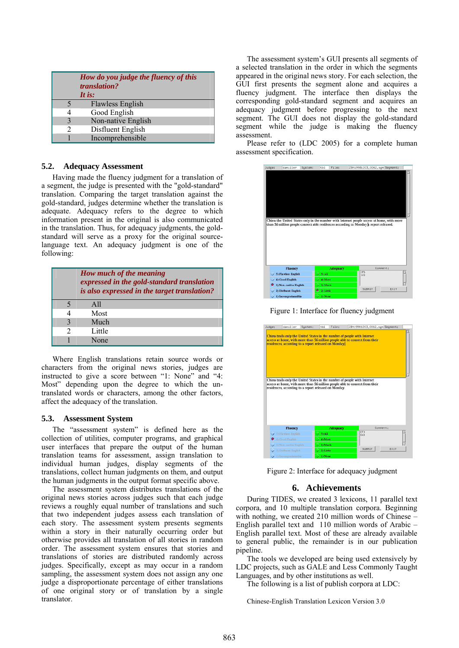|   | How do you judge the fluency of this<br>translation?<br>It is: |
|---|----------------------------------------------------------------|
| ↰ | Flawless English                                               |
|   | Good English                                                   |
| 3 | Non-native English                                             |
| າ | Disfluent English                                              |
|   | Incomprehensible                                               |

## **5.2. Adequacy Assessment**

Having made the fluency judgment for a translation of a segment, the judge is presented with the "gold-standard" translation. Comparing the target translation against the gold-standard, judges determine whether the translation is adequate. Adequacy refers to the degree to which information present in the original is also communicated in the translation. Thus, for adequacy judgments, the goldstandard will serve as a proxy for the original sourcelanguage text. An adequacy judgment is one of the following:

|               | How much of the meaning<br>expressed in the gold-standard translation<br>is also expressed in the target translation? |
|---------------|-----------------------------------------------------------------------------------------------------------------------|
|               | A11                                                                                                                   |
|               | Most                                                                                                                  |
| $\mathcal{E}$ | Much                                                                                                                  |
| $\mathcal{D}$ | Little                                                                                                                |
|               | None                                                                                                                  |

Where English translations retain source words or characters from the original news stories, judges are instructed to give a score between "1: None" and "4: Most" depending upon the degree to which the untranslated words or characters, among the other factors, affect the adequacy of the translation.

### **5.3. Assessment System**

The "assessment system" is defined here as the collection of utilities, computer programs, and graphical user interfaces that prepare the output of the human translation teams for assessment, assign translation to individual human judges, display segments of the translations, collect human judgments on them, and output the human judgments in the output format specific above.

The assessment system distributes translations of the original news stories across judges such that each judge reviews a roughly equal number of translations and such that two independent judges assess each translation of each story. The assessment system presents segments within a story in their naturally occurring order but otherwise provides all translation of all stories in random order. The assessment system ensures that stories and translations of stories are distributed randomly across judges. Specifically, except as may occur in a random sampling, the assessment system does not assign any one judge a disproportionate percentage of either translations of one original story or of translation by a single translator.

The assessment system's GUI presents all segments of a selected translation in the order in which the segments appeared in the original news story. For each selection, the GUI first presents the segment alone and acquires a fluency judgment. The interface then displays the corresponding gold-standard segment and acquires an adequacy judgment before progressing to the next segment. The GUI does not display the gold-standard segment while the judge is making the fluency assessment.

Please refer to (LDC 2005) for a complete human assessment specification.



Figure 1: Interface for fluency judgment

| Judge: | damiller                                                                                                                                                                                                          | Sustem: | tb1       | File:           |                   | ZBN19981203_0062.sgn Segment: |      |
|--------|-------------------------------------------------------------------------------------------------------------------------------------------------------------------------------------------------------------------|---------|-----------|-----------------|-------------------|-------------------------------|------|
|        | China trails only the United States in the number of people with Internet<br>access at home, with more than 56 million people able to connect from their<br>residences, according to a report released on Monday. |         |           |                 |                   |                               |      |
|        | China trails only the United States in the number of people with Internet                                                                                                                                         |         |           |                 |                   |                               |      |
|        | access at home, with more than 56 million people able to connect from their<br>residences, according to a report released on Monday.                                                                              |         |           |                 |                   |                               |      |
|        | <b>Fluency</b>                                                                                                                                                                                                    |         |           | <b>Adequacy</b> |                   | Comment:                      |      |
|        | 5) Flawless English                                                                                                                                                                                               |         | 5) All    |                 | (F)<br><b>493</b> |                               |      |
|        | 4) Good English                                                                                                                                                                                                   |         | 4) Most   |                 |                   |                               |      |
|        | 3) Non-native English                                                                                                                                                                                             |         | 3) Much   |                 |                   |                               |      |
|        | 2) Disfluent English                                                                                                                                                                                              |         | 2) Little |                 |                   | SUBMIT                        | EXIT |

Figure 2: Interface for adequacy judgment

### **6. Achievements**

During TIDES, we created 3 lexicons, 11 parallel text corpora, and 10 multiple translation corpora. Beginning with nothing, we created 210 million words of Chinese – English parallel text and 110 million words of Arabic – English parallel text. Most of these are already available to general public, the remainder is in our publication pipeline.

The tools we developed are being used extensively by LDC projects, such as GALE and Less Commonly Taught Languages, and by other institutions as well.

The following is a list of publish corpora at LDC:

Chinese-English Translation Lexicon Version 3.0